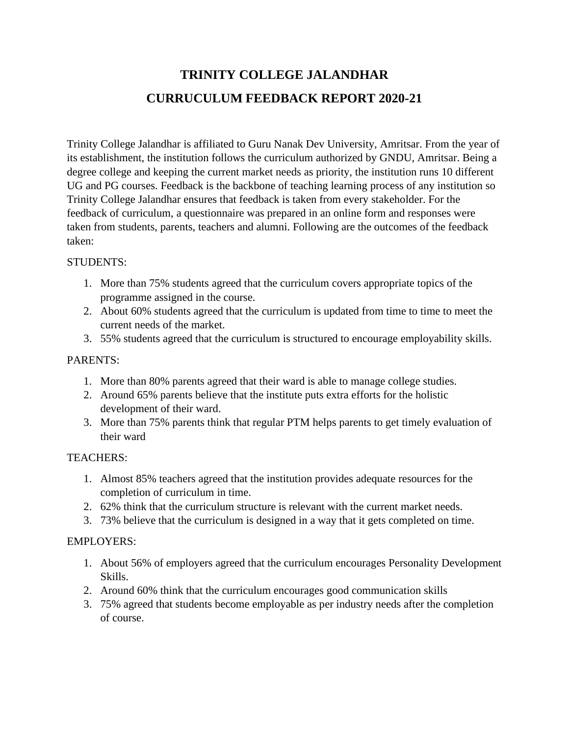# **TRINITY COLLEGE JALANDHAR CURRUCULUM FEEDBACK REPORT 2020-21**

Trinity College Jalandhar is affiliated to Guru Nanak Dev University, Amritsar. From the year of its establishment, the institution follows the curriculum authorized by GNDU, Amritsar. Being a degree college and keeping the current market needs as priority, the institution runs 10 different UG and PG courses. Feedback is the backbone of teaching learning process of any institution so Trinity College Jalandhar ensures that feedback is taken from every stakeholder. For the feedback of curriculum, a questionnaire was prepared in an online form and responses were taken from students, parents, teachers and alumni. Following are the outcomes of the feedback taken:

#### STUDENTS:

- 1. More than 75% students agreed that the curriculum covers appropriate topics of the programme assigned in the course.
- 2. About 60% students agreed that the curriculum is updated from time to time to meet the current needs of the market.
- 3. 55% students agreed that the curriculum is structured to encourage employability skills.

## PARENTS:

- 1. More than 80% parents agreed that their ward is able to manage college studies.
- 2. Around 65% parents believe that the institute puts extra efforts for the holistic development of their ward.
- 3. More than 75% parents think that regular PTM helps parents to get timely evaluation of their ward

## TEACHERS:

- 1. Almost 85% teachers agreed that the institution provides adequate resources for the completion of curriculum in time.
- 2. 62% think that the curriculum structure is relevant with the current market needs.
- 3. 73% believe that the curriculum is designed in a way that it gets completed on time.

## EMPLOYERS:

- 1. About 56% of employers agreed that the curriculum encourages Personality Development Skills.
- 2. Around 60% think that the curriculum encourages good communication skills
- 3. 75% agreed that students become employable as per industry needs after the completion of course.